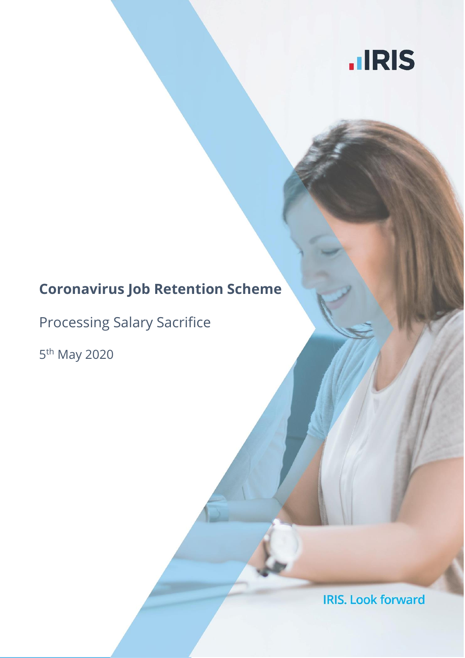

# **Coronavirus Job Retention Scheme**

Processing Salary Sacrifice

5<sup>th</sup> May 2020

**IRIS. Look forward**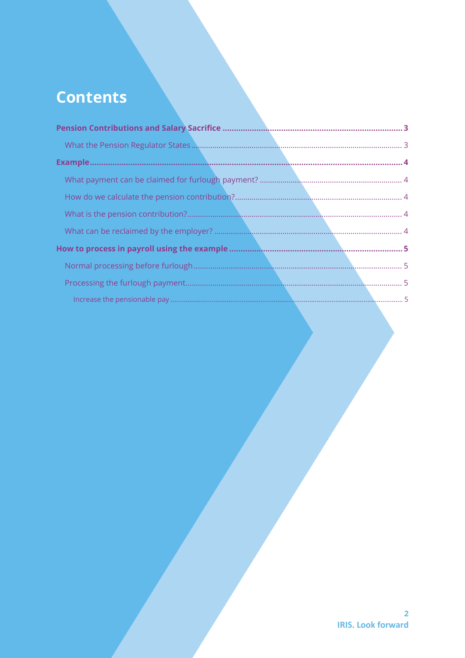# **Contents**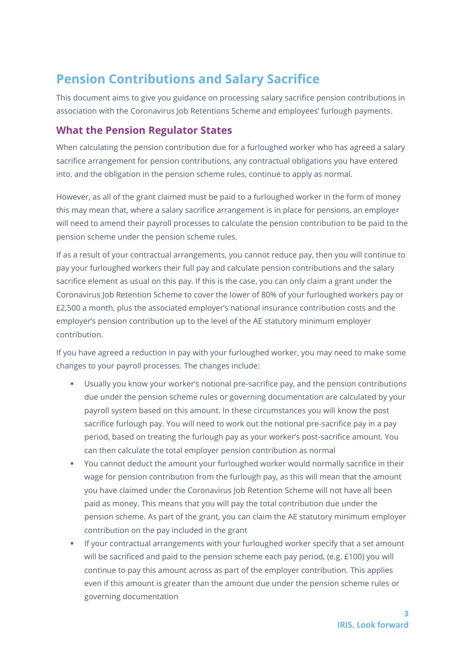## <span id="page-2-0"></span>**Pension Contributions and Salary Sacrifice**

This document aims to give you guidance on processing salary sacrifice pension contributions in association with the Coronavirus Job Retentions Scheme and employees' furlough payments.

#### <span id="page-2-1"></span>**What the Pension Regulator States**

When calculating the pension contribution due for a furloughed worker who has agreed a salary sacrifice arrangement for pension contributions, any contractual obligations you have entered into, and the obligation in the pension scheme rules, continue to apply as normal.

However, as all of the grant claimed must be paid to a furloughed worker in the form of money this may mean that, where a salary sacrifice arrangement is in place for pensions, an employer will need to amend their payroll processes to calculate the pension contribution to be paid to the pension scheme under the pension scheme rules.

If as a result of your contractual arrangements, you cannot reduce pay, then you will continue to pay your furloughed workers their full pay and calculate pension contributions and the salary sacrifice element as usual on this pay. If this is the case, you can only claim a grant under the Coronavirus Job Retention Scheme to cover the lower of 80% of your furloughed workers pay or £2,500 a month, plus the associated employer's national insurance contribution costs and the employer's pension contribution up to the level of the AE statutory minimum employer contribution.

If you have agreed a reduction in pay with your furloughed worker, you may need to make some changes to your payroll processes. The changes include:

- Usually you know your worker's notional pre-sacrifice pay, and the pension contributions due under the pension scheme rules or governing documentation are calculated by your payroll system based on this amount. In these circumstances you will know the post sacrifice furlough pay. You will need to work out the notional pre-sacrifice pay in a pay period, based on treating the furlough pay as your worker's post-sacrifice amount. You can then calculate the total employer pension contribution as normal
- You cannot deduct the amount your furloughed worker would normally sacrifice in their wage for pension contribution from the furlough pay, as this will mean that the amount you have claimed under the Coronavirus Job Retention Scheme will not have all been paid as money. This means that you will pay the total contribution due under the pension scheme. As part of the grant, you can claim the AE statutory minimum employer contribution on the pay included in the grant
- If your contractual arrangements with your furloughed worker specify that a set amount will be sacrificed and paid to the pension scheme each pay period, (e.g. £100) you will continue to pay this amount across as part of the employer contribution. This applies even if this amount is greater than the amount due under the pension scheme rules or governing documentation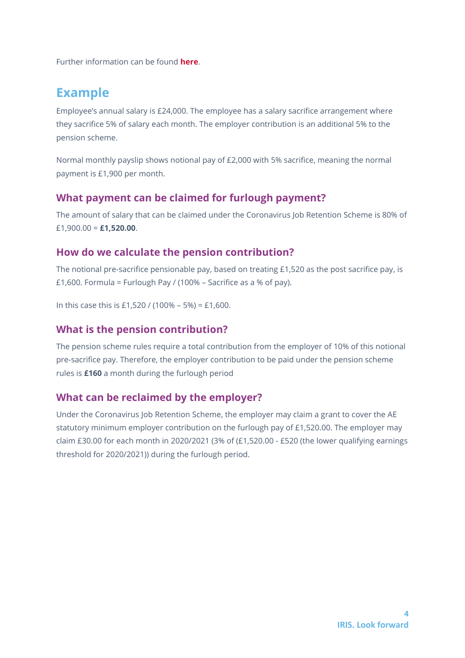Further information can be found **[here](https://www.thepensionsregulator.gov.uk/en/covid-19-coronavirus-what-you-need-to-consider/automatic-enrolment-and-pension-contributions-covid-19-guidance-for-employers/covid-19-technical-guidance-for-large-employers)**.

## <span id="page-3-0"></span>**Example**

Employee's annual salary is £24,000. The employee has a salary sacrifice arrangement where they sacrifice 5% of salary each month. The employer contribution is an additional 5% to the pension scheme.

Normal monthly payslip shows notional pay of £2,000 with 5% sacrifice, meaning the normal payment is £1,900 per month.

#### <span id="page-3-1"></span>**What payment can be claimed for furlough payment?**

The amount of salary that can be claimed under the Coronavirus Job Retention Scheme is 80% of £1,900.00 = **£1,520.00**.

#### <span id="page-3-2"></span>**How do we calculate the pension contribution?**

The notional pre-sacrifice pensionable pay, based on treating £1,520 as the post sacrifice pay, is £1,600. Formula = Furlough Pay / (100% – Sacrifice as a % of pay).

In this case this is £1,520 / (100% – 5%) = £1,600.

#### <span id="page-3-3"></span>**What is the pension contribution?**

The pension scheme rules require a total contribution from the employer of 10% of this notional pre-sacrifice pay. Therefore, the employer contribution to be paid under the pension scheme rules is **£160** a month during the furlough period

### <span id="page-3-4"></span>**What can be reclaimed by the employer?**

Under the Coronavirus Job Retention Scheme, the employer may claim a grant to cover the AE statutory minimum employer contribution on the furlough pay of £1,520.00. The employer may claim £30.00 for each month in 2020/2021 (3% of (£1,520.00 - £520 (the lower qualifying earnings threshold for 2020/2021)) during the furlough period.